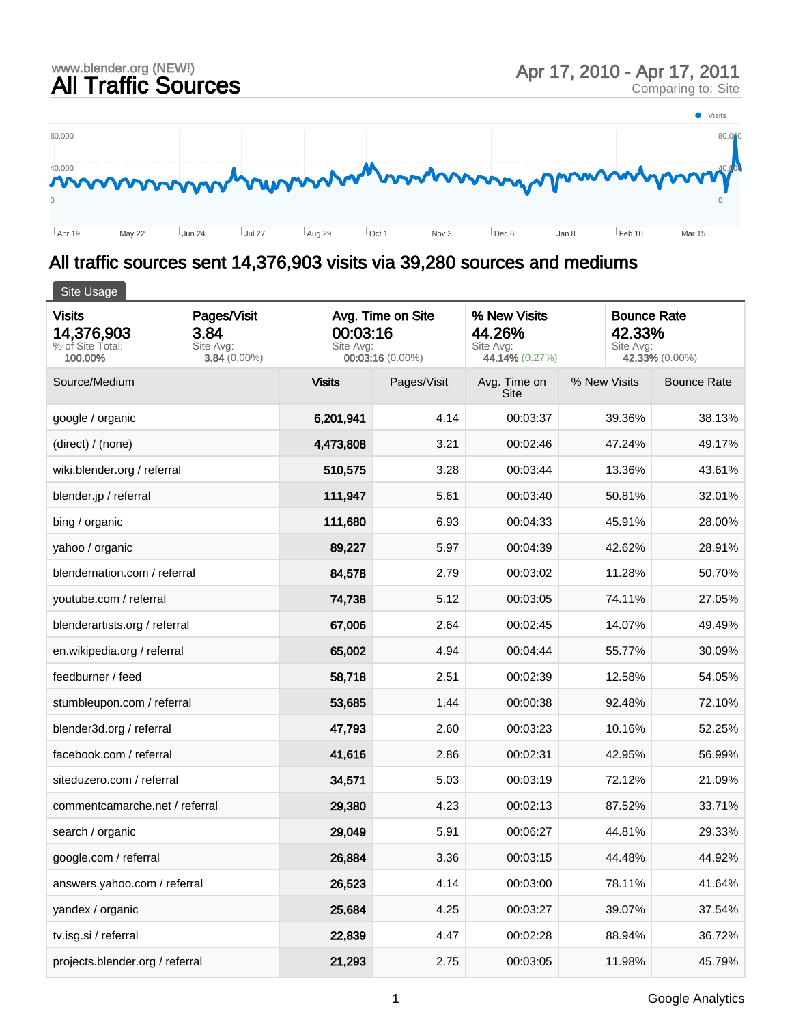

## All traffic sources sent 14,376,903 visits via 39,280 sources and mediums

| Site Usage                                                 |                                                    |                       |                                       |                                                       |              |                                                             |  |  |  |
|------------------------------------------------------------|----------------------------------------------------|-----------------------|---------------------------------------|-------------------------------------------------------|--------------|-------------------------------------------------------------|--|--|--|
| <b>Visits</b><br>14,376,903<br>% of Site Total:<br>100.00% | Pages/Visit<br>3.84<br>Site Avg:<br>$3.84(0.00\%)$ | 00:03:16<br>Site Avg: | Avg. Time on Site<br>00:03:16 (0.00%) | % New Visits<br>44.26%<br>Site Avg:<br>44.14% (0.27%) |              | <b>Bounce Rate</b><br>42.33%<br>Site Avg:<br>42.33% (0.00%) |  |  |  |
| Source/Medium                                              |                                                    | <b>Visits</b>         | Pages/Visit                           | Avg. Time on<br>Site                                  | % New Visits | <b>Bounce Rate</b>                                          |  |  |  |
| google / organic                                           |                                                    | 6,201,941             | 4.14                                  | 00:03:37                                              | 39.36%       | 38.13%                                                      |  |  |  |
| (direct) / (none)                                          |                                                    | 4,473,808             | 3.21                                  | 00:02:46                                              | 47.24%       | 49.17%                                                      |  |  |  |
| wiki.blender.org / referral                                |                                                    | 510,575               | 3.28                                  | 00:03:44                                              | 13.36%       | 43.61%                                                      |  |  |  |
| blender.jp / referral                                      |                                                    | 111,947               | 5.61                                  | 00:03:40                                              | 50.81%       | 32.01%                                                      |  |  |  |
| bing / organic                                             |                                                    | 111,680               | 6.93                                  | 00:04:33                                              | 45.91%       | 28.00%                                                      |  |  |  |
| yahoo / organic                                            |                                                    | 89,227                | 5.97                                  | 00:04:39                                              | 42.62%       | 28.91%                                                      |  |  |  |
| blendernation.com / referral                               |                                                    | 84,578                | 2.79                                  | 00:03:02                                              | 11.28%       | 50.70%                                                      |  |  |  |
| youtube.com / referral                                     |                                                    | 74,738                | 5.12                                  | 00:03:05                                              | 74.11%       | 27.05%                                                      |  |  |  |
| blenderartists.org / referral                              |                                                    | 67,006                | 2.64                                  | 00:02:45                                              | 14.07%       | 49.49%                                                      |  |  |  |
| en.wikipedia.org / referral                                |                                                    | 65,002                | 4.94                                  | 00:04:44                                              | 55.77%       | 30.09%                                                      |  |  |  |
| feedburner / feed                                          |                                                    | 58,718                | 2.51                                  | 00:02:39                                              | 12.58%       | 54.05%                                                      |  |  |  |
| stumbleupon.com / referral                                 |                                                    | 53,685                | 1.44                                  | 00:00:38                                              | 92.48%       | 72.10%                                                      |  |  |  |
| blender3d.org / referral                                   |                                                    | 47,793                | 2.60                                  | 00:03:23                                              | 10.16%       | 52.25%                                                      |  |  |  |
| facebook.com / referral                                    |                                                    | 41,616                | 2.86                                  | 00:02:31                                              | 42.95%       | 56.99%                                                      |  |  |  |
| siteduzero.com / referral                                  |                                                    | 34,571                | 5.03                                  | 00:03:19                                              | 72.12%       | 21.09%                                                      |  |  |  |
| commentcamarche.net / referral                             |                                                    | 29,380                | 4.23                                  | 00:02:13                                              | 87.52%       | 33.71%                                                      |  |  |  |
| search / organic                                           |                                                    | 29,049                | 5.91                                  | 00:06:27                                              | 44.81%       | 29.33%                                                      |  |  |  |
| google.com / referral                                      |                                                    | 26,884                | 3.36                                  | 00:03:15                                              | 44.48%       | 44.92%                                                      |  |  |  |
| answers.yahoo.com / referral                               |                                                    | 26,523                | 4.14                                  | 00:03:00                                              | 78.11%       | 41.64%                                                      |  |  |  |
| yandex / organic                                           |                                                    | 25,684                | 4.25                                  | 00:03:27                                              | 39.07%       | 37.54%                                                      |  |  |  |
| tv.isg.si / referral                                       |                                                    | 22,839                | 4.47                                  | 00:02:28                                              | 88.94%       | 36.72%                                                      |  |  |  |
| projects.blender.org / referral                            |                                                    | 21,293                | 2.75                                  | 00:03:05                                              | 11.98%       | 45.79%                                                      |  |  |  |